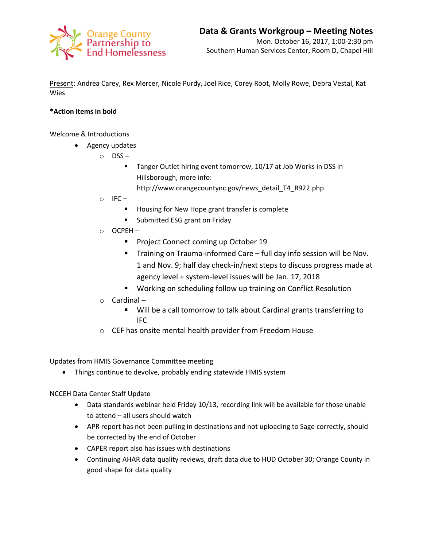

Present: Andrea Carey, Rex Mercer, Nicole Purdy, Joel Rice, Corey Root, Molly Rowe, Debra Vestal, Kat Wies

## **\*Action items in bold**

Welcome & Introductions

- Agency updates
	- o DSS
		- **Tanger Outlet hiring event tomorrow, 10/17 at Job Works in DSS in** Hillsborough, more info:
			- http://www.orangecountync.gov/news\_detail\_T4\_R922.php
	- $\circ$  IFC
		- **Housing for New Hope grant transfer is complete**
		- **Submitted ESG grant on Friday**
	- o OCPEH
		- **Project Connect coming up October 19**
		- **Training on Trauma-informed Care full day info session will be Nov.** 1 and Nov. 9; half day check-in/next steps to discuss progress made at agency level + system-level issues will be Jan. 17, 2018
		- Working on scheduling follow up training on Conflict Resolution
	- o Cardinal
		- Will be a call tomorrow to talk about Cardinal grants transferring to IFC
	- o CEF has onsite mental health provider from Freedom House

Updates from HMIS Governance Committee meeting

Things continue to devolve, probably ending statewide HMIS system

NCCEH Data Center Staff Update

- Data standards webinar held Friday 10/13, recording link will be available for those unable to attend – all users should watch
- APR report has not been pulling in destinations and not uploading to Sage correctly, should be corrected by the end of October
- CAPER report also has issues with destinations
- Continuing AHAR data quality reviews, draft data due to HUD October 30; Orange County in good shape for data quality